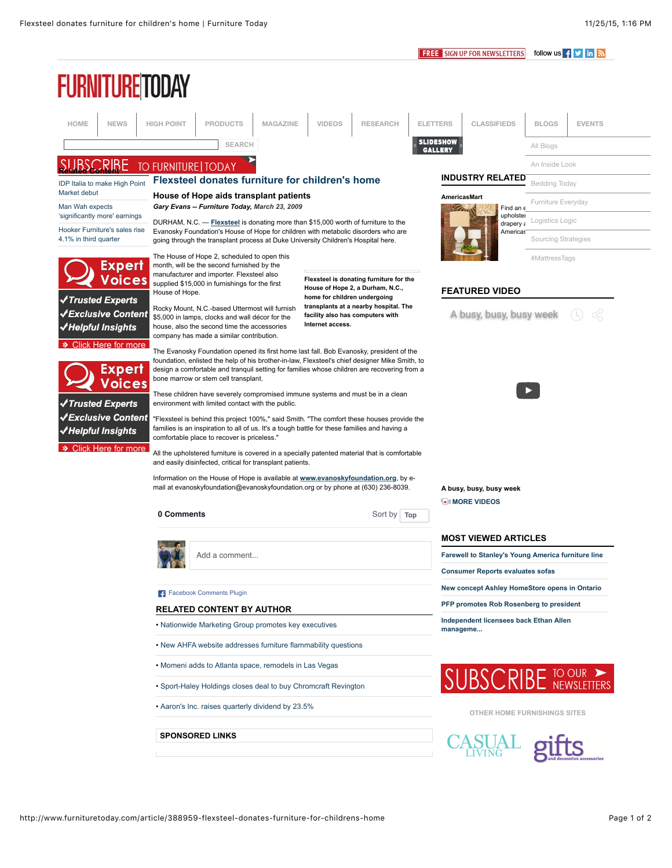**FREE** SIGN UP FOR NEWSLETTERS follow us **f** y in  $\mathbb{N}$